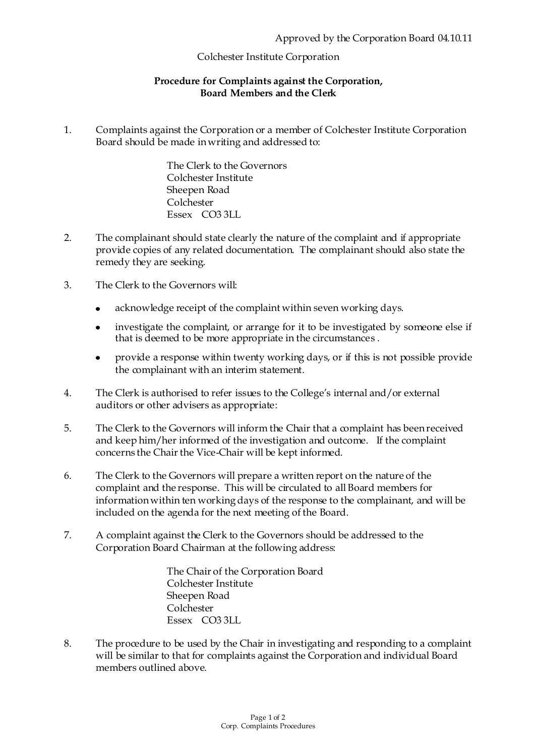## Colchester Institute Corporation

## **Procedure for Complaints against the Corporation, Board Members and the Clerk**

1. Complaints against the Corporation or a member of Colchester Institute Corporation Board should be made in writing and addressed to:

> The Clerk to the Governors Colchester Institute Sheepen Road Colchester Essex CO3 3LL

- 2. The complainant should state clearly the nature of the complaint and if appropriate provide copies of any related documentation. The complainant should also state the remedy they are seeking.
- 3. The Clerk to the Governors will:
	- acknowledge receipt of the complaint within seven working days.  $\bullet$
	- investigate the complaint, or arrange for it to be investigated by someone else if  $\bullet$ that is deemed to be more appropriate in the circumstances .
	- $\bullet$ provide a response within twenty working days, or if this is not possible provide the complainant with an interim statement.
- 4. The Clerk is authorised to refer issues to the College's internal and/or external auditors or other advisers as appropriate:
- 5. The Clerk to the Governors will inform the Chair that a complaint has been received and keep him/her informed of the investigation and outcome. If the complaint concerns the Chair the Vice-Chair will be kept informed.
- 6. The Clerk to the Governors will prepare a written report on the nature of the complaint and the response. This will be circulated to all Board members for information within ten working days of the response to the complainant, and will be included on the agenda for the next meeting of the Board.
- 7. A complaint against the Clerk to the Governors should be addressed to the Corporation Board Chairman at the following address:

The Chair of the Corporation Board Colchester Institute Sheepen Road Colchester Essex CO3 3LL

8. The procedure to be used by the Chair in investigating and responding to a complaint will be similar to that for complaints against the Corporation and individual Board members outlined above.